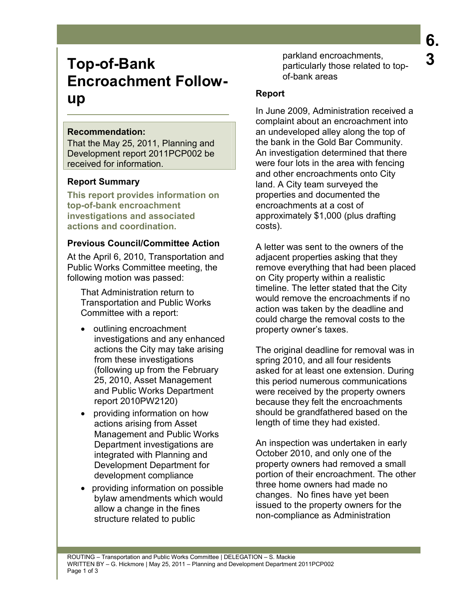# **Top-of-Bank 19.18 Particularly those related to top-**<br>**3 3 3 3 Encroachment Followup**

### **Recommendation:**

That the May 25, 2011, Planning and Development report 2011PCP002 be received for information.

## **Report Summary**

**This report provides information on top-of-bank encroachment investigations and associated actions and coordination.** 

## **Previous Council/Committee Action**

At the April 6, 2010, Transportation and Public Works Committee meeting, the following motion was passed:

That Administration return to Transportation and Public Works Committee with a report:

- outlining encroachment investigations and any enhanced actions the City may take arising from these investigations (following up from the February 25, 2010, Asset Management and Public Works Department report 2010PW2120)
- providing information on how actions arising from Asset Management and Public Works Department investigations are integrated with Planning and Development Department for development compliance
- providing information on possible bylaw amendments which would allow a change in the fines structure related to public

parkland encroachments, particularly those related to topof-bank areas

## **Report**

In June 2009, Administration received a complaint about an encroachment into an undeveloped alley along the top of the bank in the Gold Bar Community. An investigation determined that there were four lots in the area with fencing and other encroachments onto City land. A City team surveyed the properties and documented the encroachments at a cost of approximately \$1,000 (plus drafting costs).

A letter was sent to the owners of the adjacent properties asking that they remove everything that had been placed on City property within a realistic timeline. The letter stated that the City would remove the encroachments if no action was taken by the deadline and could charge the removal costs to the property owner's taxes.

The original deadline for removal was in spring 2010, and all four residents asked for at least one extension. During this period numerous communications were received by the property owners because they felt the encroachments should be grandfathered based on the length of time they had existed.

An inspection was undertaken in early October 2010, and only one of the property owners had removed a small portion of their encroachment. The other three home owners had made no changes. No fines have yet been issued to the property owners for the non-compliance as Administration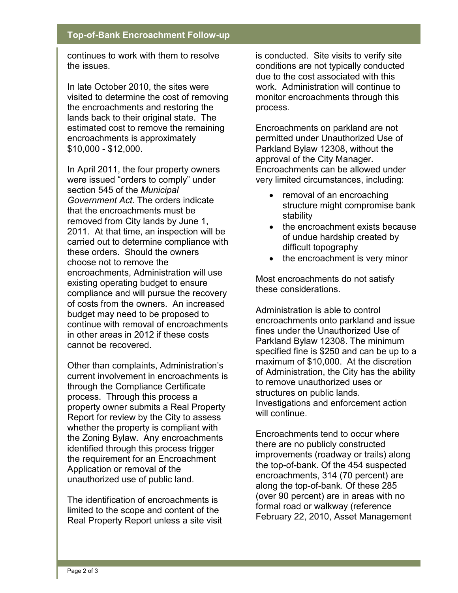### **Top-of-Bank Encroachment Follow-up**

continues to work with them to resolve the issues.

In late October 2010, the sites were visited to determine the cost of removing the encroachments and restoring the lands back to their original state. The estimated cost to remove the remaining encroachments is approximately \$10,000 - \$12,000.

In April 2011, the four property owners were issued "orders to comply" under section 545 of the *Municipal Government Act*. The orders indicate that the encroachments must be removed from City lands by June 1, 2011. At that time, an inspection will be carried out to determine compliance with these orders. Should the owners choose not to remove the encroachments, Administration will use existing operating budget to ensure compliance and will pursue the recovery of costs from the owners. An increased budget may need to be proposed to continue with removal of encroachments in other areas in 2012 if these costs cannot be recovered.

Other than complaints, Administration's current involvement in encroachments is through the Compliance Certificate process. Through this process a property owner submits a Real Property Report for review by the City to assess whether the property is compliant with the Zoning Bylaw. Any encroachments identified through this process trigger the requirement for an Encroachment Application or removal of the unauthorized use of public land.

The identification of encroachments is limited to the scope and content of the Real Property Report unless a site visit

is conducted. Site visits to verify site conditions are not typically conducted due to the cost associated with this work. Administration will continue to monitor encroachments through this process.

Encroachments on parkland are not permitted under Unauthorized Use of Parkland Bylaw 12308, without the approval of the City Manager. Encroachments can be allowed under very limited circumstances, including:

- removal of an encroaching structure might compromise bank stability
- the encroachment exists because of undue hardship created by difficult topography
- the encroachment is very minor

Most encroachments do not satisfy these considerations.

Administration is able to control encroachments onto parkland and issue fines under the Unauthorized Use of Parkland Bylaw 12308. The minimum specified fine is \$250 and can be up to a maximum of \$10,000. At the discretion of Administration, the City has the ability to remove unauthorized uses or structures on public lands. Investigations and enforcement action will continue.

Encroachments tend to occur where there are no publicly constructed improvements (roadway or trails) along the top-of-bank. Of the 454 suspected encroachments, 314 (70 percent) are along the top-of-bank. Of these 285 (over 90 percent) are in areas with no formal road or walkway (reference February 22, 2010, Asset Management